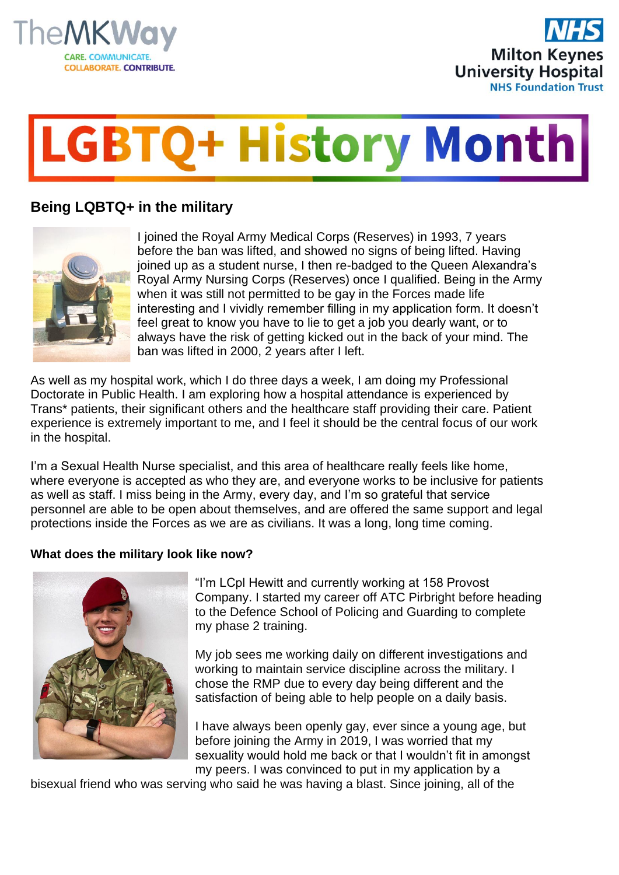



## **GBTQ+ History Month**

## **Being LQBTQ+ in the military**



I joined the Royal Army Medical Corps (Reserves) in 1993, 7 years before the ban was lifted, and showed no signs of being lifted. Having joined up as a student nurse, I then re-badged to the Queen Alexandra's Royal Army Nursing Corps (Reserves) once I qualified. Being in the Army when it was still not permitted to be gay in the Forces made life interesting and I vividly remember filling in my application form. It doesn't feel great to know you have to lie to get a job you dearly want, or to always have the risk of getting kicked out in the back of your mind. The ban was lifted in 2000, 2 years after I left.

As well as my hospital work, which I do three days a week, I am doing my Professional Doctorate in Public Health. I am exploring how a hospital attendance is experienced by Trans\* patients, their significant others and the healthcare staff providing their care. Patient experience is extremely important to me, and I feel it should be the central focus of our work in the hospital.

I'm a Sexual Health Nurse specialist, and this area of healthcare really feels like home, where everyone is accepted as who they are, and everyone works to be inclusive for patients as well as staff. I miss being in the Army, every day, and I'm so grateful that service personnel are able to be open about themselves, and are offered the same support and legal protections inside the Forces as we are as civilians. It was a long, long time coming.

## **What does the military look like now?**



"I'm LCpl Hewitt and currently working at 158 Provost Company. I started my career off ATC Pirbright before heading to the Defence School of Policing and Guarding to complete my phase 2 training.

My job sees me working daily on different investigations and working to maintain service discipline across the military. I chose the RMP due to every day being different and the satisfaction of being able to help people on a daily basis.

I have always been openly gay, ever since a young age, but before joining the Army in 2019, I was worried that my sexuality would hold me back or that I wouldn't fit in amongst my peers. I was convinced to put in my application by a

bisexual friend who was serving who said he was having a blast. Since joining, all of the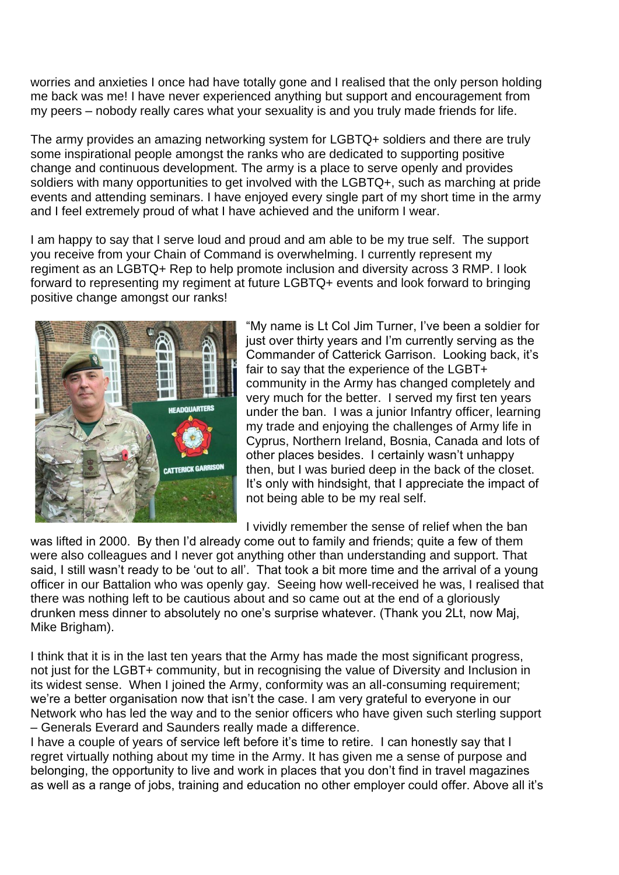worries and anxieties I once had have totally gone and I realised that the only person holding me back was me! I have never experienced anything but support and encouragement from my peers – nobody really cares what your sexuality is and you truly made friends for life.

The army provides an amazing networking system for LGBTQ+ soldiers and there are truly some inspirational people amongst the ranks who are dedicated to supporting positive change and continuous development. The army is a place to serve openly and provides soldiers with many opportunities to get involved with the LGBTQ+, such as marching at pride events and attending seminars. I have enjoyed every single part of my short time in the army and I feel extremely proud of what I have achieved and the uniform I wear.

I am happy to say that I serve loud and proud and am able to be my true self. The support you receive from your Chain of Command is overwhelming. I currently represent my regiment as an LGBTQ+ Rep to help promote inclusion and diversity across 3 RMP. I look forward to representing my regiment at future LGBTQ+ events and look forward to bringing positive change amongst our ranks!



"My name is Lt Col Jim Turner, I've been a soldier for just over thirty years and I'm currently serving as the Commander of Catterick Garrison. Looking back, it's fair to say that the experience of the LGBT+ community in the Army has changed completely and very much for the better. I served my first ten years under the ban. I was a junior Infantry officer, learning my trade and enjoying the challenges of Army life in Cyprus, Northern Ireland, Bosnia, Canada and lots of other places besides. I certainly wasn't unhappy then, but I was buried deep in the back of the closet. It's only with hindsight, that I appreciate the impact of not being able to be my real self.

I vividly remember the sense of relief when the ban

was lifted in 2000. By then I'd already come out to family and friends; quite a few of them were also colleagues and I never got anything other than understanding and support. That said, I still wasn't ready to be 'out to all'. That took a bit more time and the arrival of a young officer in our Battalion who was openly gay. Seeing how well-received he was, I realised that there was nothing left to be cautious about and so came out at the end of a gloriously drunken mess dinner to absolutely no one's surprise whatever. (Thank you 2Lt, now Maj, Mike Brigham).

I think that it is in the last ten years that the Army has made the most significant progress, not just for the LGBT+ community, but in recognising the value of Diversity and Inclusion in its widest sense. When I joined the Army, conformity was an all-consuming requirement; we're a better organisation now that isn't the case. I am very grateful to everyone in our Network who has led the way and to the senior officers who have given such sterling support – Generals Everard and Saunders really made a difference.

I have a couple of years of service left before it's time to retire. I can honestly say that I regret virtually nothing about my time in the Army. It has given me a sense of purpose and belonging, the opportunity to live and work in places that you don't find in travel magazines as well as a range of jobs, training and education no other employer could offer. Above all it's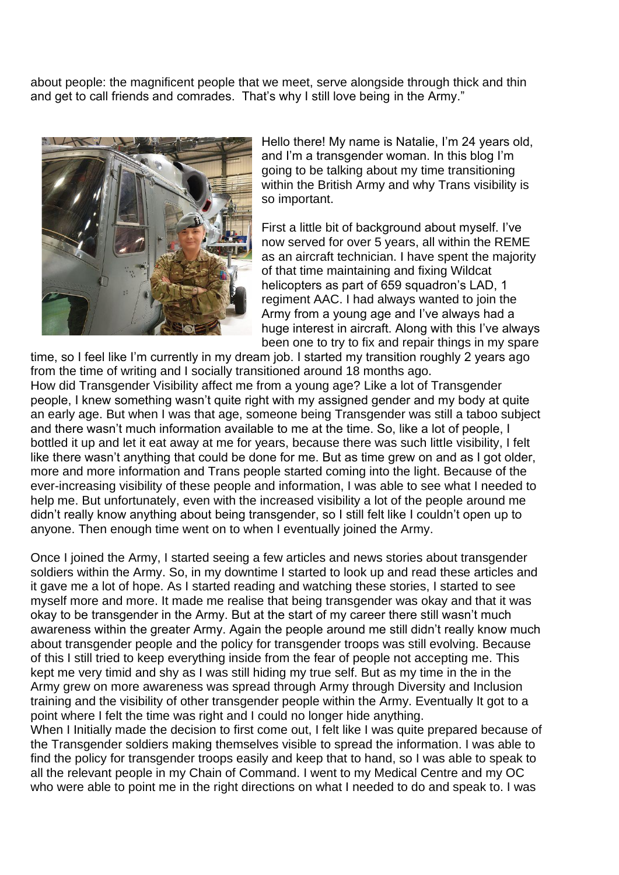about people: the magnificent people that we meet, serve alongside through thick and thin and get to call friends and comrades. That's why I still love being in the Army."



Hello there! My name is Natalie, I'm 24 years old, and I'm a transgender woman. In this blog I'm going to be talking about my time transitioning within the British Army and why Trans visibility is so important.

First a little bit of background about myself. I've now served for over 5 years, all within the REME as an aircraft technician. I have spent the majority of that time maintaining and fixing Wildcat helicopters as part of 659 squadron's LAD, 1 regiment AAC. I had always wanted to join the Army from a young age and I've always had a huge interest in aircraft. Along with this I've always been one to try to fix and repair things in my spare

time, so I feel like I'm currently in my dream job. I started my transition roughly 2 years ago from the time of writing and I socially transitioned around 18 months ago. How did Transgender Visibility affect me from a young age? Like a lot of Transgender people, I knew something wasn't quite right with my assigned gender and my body at quite an early age. But when I was that age, someone being Transgender was still a taboo subject and there wasn't much information available to me at the time. So, like a lot of people, I bottled it up and let it eat away at me for years, because there was such little visibility, I felt like there wasn't anything that could be done for me. But as time grew on and as I got older, more and more information and Trans people started coming into the light. Because of the ever-increasing visibility of these people and information, I was able to see what I needed to help me. But unfortunately, even with the increased visibility a lot of the people around me didn't really know anything about being transgender, so I still felt like I couldn't open up to anyone. Then enough time went on to when I eventually joined the Army.

Once I joined the Army, I started seeing a few articles and news stories about transgender soldiers within the Army. So, in my downtime I started to look up and read these articles and it gave me a lot of hope. As I started reading and watching these stories, I started to see myself more and more. It made me realise that being transgender was okay and that it was okay to be transgender in the Army. But at the start of my career there still wasn't much awareness within the greater Army. Again the people around me still didn't really know much about transgender people and the policy for transgender troops was still evolving. Because of this I still tried to keep everything inside from the fear of people not accepting me. This kept me very timid and shy as I was still hiding my true self. But as my time in the in the Army grew on more awareness was spread through Army through Diversity and Inclusion training and the visibility of other transgender people within the Army. Eventually It got to a point where I felt the time was right and I could no longer hide anything.

When I Initially made the decision to first come out, I felt like I was quite prepared because of the Transgender soldiers making themselves visible to spread the information. I was able to find the policy for transgender troops easily and keep that to hand, so I was able to speak to all the relevant people in my Chain of Command. I went to my Medical Centre and my OC who were able to point me in the right directions on what I needed to do and speak to. I was